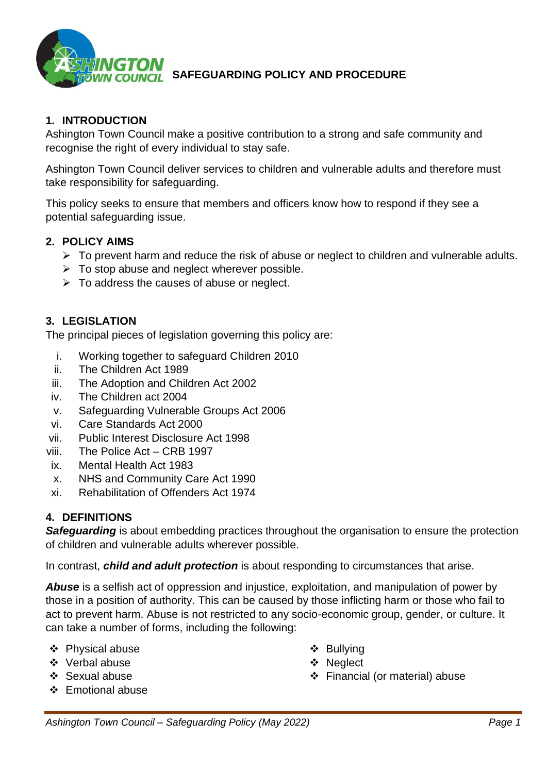

## **1. INTRODUCTION**

Ashington Town Council make a positive contribution to a strong and safe community and recognise the right of every individual to stay safe.

Ashington Town Council deliver services to children and vulnerable adults and therefore must take responsibility for safeguarding.

This policy seeks to ensure that members and officers know how to respond if they see a potential safeguarding issue.

#### **2. POLICY AIMS**

- $\triangleright$  To prevent harm and reduce the risk of abuse or neglect to children and vulnerable adults.
- $\triangleright$  To stop abuse and neglect wherever possible.
- $\triangleright$  To address the causes of abuse or neglect.

#### **3. LEGISLATION**

The principal pieces of legislation governing this policy are:

- i. Working together to safeguard Children 2010
- ii. The Children Act 1989
- iii. The Adoption and Children Act 2002
- iv. The Children act 2004
- v. Safeguarding Vulnerable Groups Act 2006
- vi. Care Standards Act 2000
- vii. Public Interest Disclosure Act 1998
- viii. The Police Act CRB 1997
- ix. Mental Health Act 1983
- x. NHS and Community Care Act 1990
- xi. Rehabilitation of Offenders Act 1974

### **4. DEFINITIONS**

*Safeguarding* is about embedding practices throughout the organisation to ensure the protection of children and vulnerable adults wherever possible.

In contrast, *child and adult protection* is about responding to circumstances that arise.

*Abuse* is a selfish act of oppression and injustice, exploitation, and manipulation of power by those in a position of authority. This can be caused by those inflicting harm or those who fail to act to prevent harm. Abuse is not restricted to any socio-economic group, gender, or culture. It can take a number of forms, including the following:

- ❖ Physical abuse
- ❖ Verbal abuse
- ❖ Sexual abuse
- ❖ Emotional abuse
- ❖ Bullying
- ❖ Neglect
- ❖ Financial (or material) abuse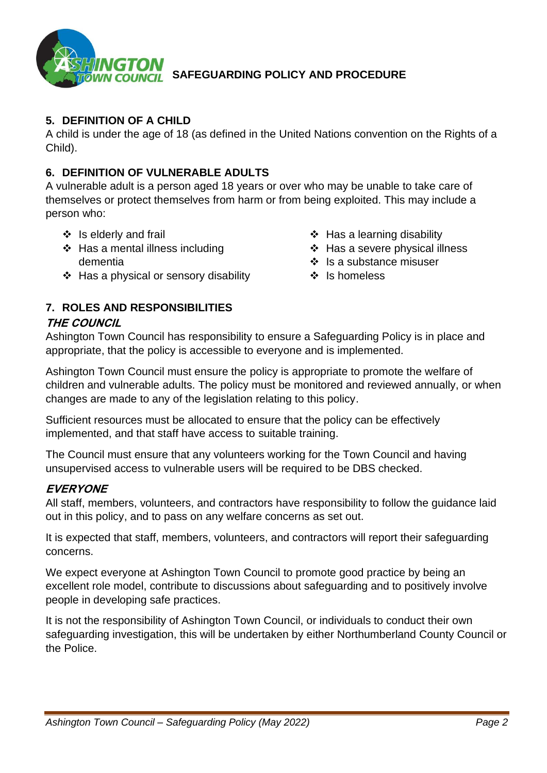

## **5. DEFINITION OF A CHILD**

A child is under the age of 18 (as defined in the United Nations convention on the Rights of a Child).

### **6. DEFINITION OF VULNERABLE ADULTS**

A vulnerable adult is a person aged 18 years or over who may be unable to take care of themselves or protect themselves from harm or from being exploited. This may include a person who:

- ❖ Is elderly and frail
- ❖ Has a mental illness including dementia
- ❖ Has a physical or sensory disability

# **7. ROLES AND RESPONSIBILITIES**

# **THE COUNCIL**

Ashington Town Council has responsibility to ensure a Safeguarding Policy is in place and appropriate, that the policy is accessible to everyone and is implemented.

Ashington Town Council must ensure the policy is appropriate to promote the welfare of children and vulnerable adults. The policy must be monitored and reviewed annually, or when changes are made to any of the legislation relating to this policy.

Sufficient resources must be allocated to ensure that the policy can be effectively implemented, and that staff have access to suitable training.

The Council must ensure that any volunteers working for the Town Council and having unsupervised access to vulnerable users will be required to be DBS checked.

# **EVERYONE**

All staff, members, volunteers, and contractors have responsibility to follow the guidance laid out in this policy, and to pass on any welfare concerns as set out.

It is expected that staff, members, volunteers, and contractors will report their safeguarding concerns.

We expect everyone at Ashington Town Council to promote good practice by being an excellent role model, contribute to discussions about safeguarding and to positively involve people in developing safe practices.

It is not the responsibility of Ashington Town Council, or individuals to conduct their own safeguarding investigation, this will be undertaken by either Northumberland County Council or the Police.

- ❖ Has a learning disability
- ❖ Has a severe physical illness
- ❖ Is a substance misuser
- ❖ Is homeless